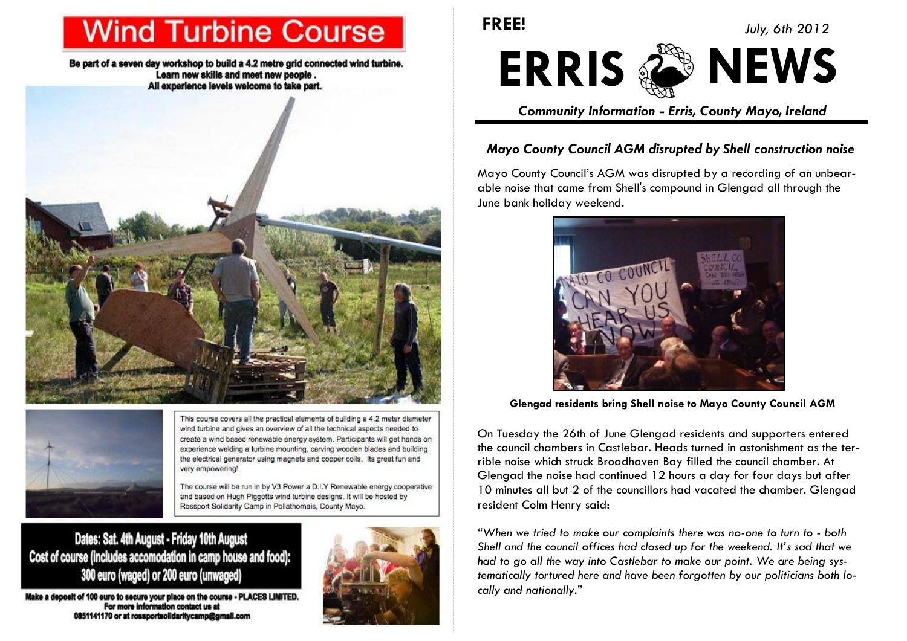# **Wind Turbine Course**

Be part of a seven day workshop to build a 4.2 metre grid connected wind turbine. Learn new skills and meet new people. All experience levels welcome to take part.





This course covers all the practical elements of building a 4.2 meter diameter wind turbine and gives an overview of all the technical aspects needed to create a wind based renewable energy system. Participants will get hands on experience welding a turbine mounting, carving wooden blades and building the electrical generator using magnets and copper coils. Its great fun and very empowering!

The course will be run in by V3 Power a D.I.Y Renewable energy cooperative and based on Hugh Piggotts wind turbine designs. It will be hosted by Rossport Solidarity Camp in Pollathomais, County Mayo.

## Dates: Sat. 4th August - Friday 10th August Cost of course (includes accomodation in camp house and food): 300 euro (waged) or 200 euro (unwaged)

Make a deposit of 100 euro to secure your place on the course - PLACES LIMITED. For more information contact us at 0851141170 or at rossportsolidaritycamp@gmail.com



**FREE!** *July, 6th 2012*



*Community Information - Erris, County Mayo, Ireland*

#### *Mayo County Council AGM disrupted by Shell construction noise*

Mayo County Council's AGM was disrupted by a recording of an unbearable noise that came from Shell's compound in Glengad all through the June bank holiday weekend.



**Glengad residents bring Shell noise to Mayo County Council AGM**

On Tuesday the 26th of June Glengad residents and supporters entered the council chambers in Castlebar. Heads turned in astonishment as the terrible noise which struck Broadhaven Bay filled the council chamber. At Glengad the noise had continued 12 hours a day for four days but after 10 minutes all but 2 of the councillors had vacated the chamber. Glengad resident Colm Henry said:

*"When we tried to make our complaints there was no-one to turn to - both Shell and the council offices had closed up for the weekend. It's sad that we had to go all the way into Castlebar to make our point. We are being systematically tortured here and have been forgotten by our politicians both locally and nationally."*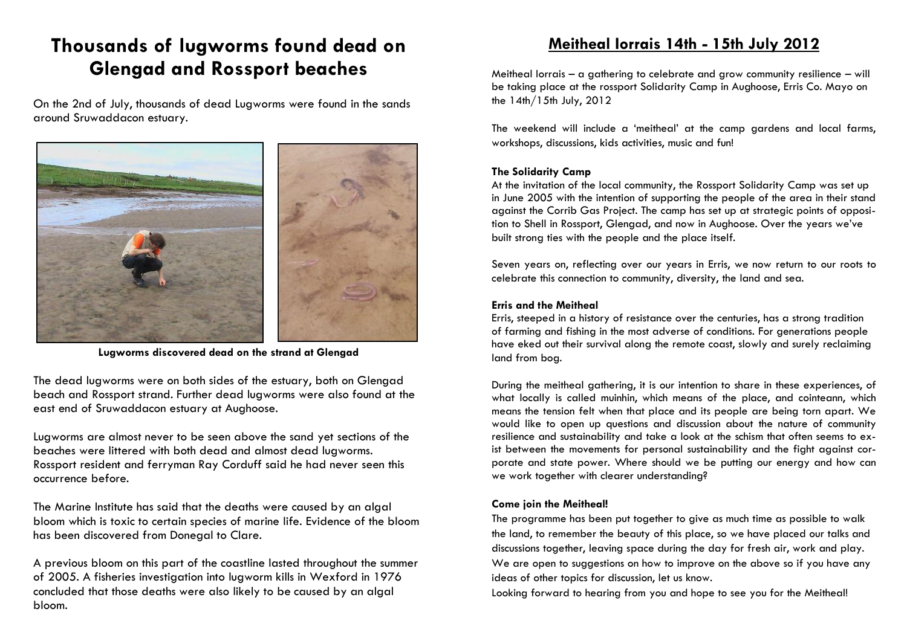## **Thousands of lugworms found dead on Glengad and Rossport beaches**

On the 2nd of July, thousands of dead Lugworms were found in the sands around Sruwaddacon estuary.



**Lugworms discovered dead on the strand at Glengad**

The dead lugworms were on both sides of the estuary, both on Glengad beach and Rossport strand. Further dead lugworms were also found at the east end of Sruwaddacon estuary at Aughoose.

Lugworms are almost never to be seen above the sand yet sections of the beaches were littered with both dead and almost dead lugworms. Rossport resident and ferryman Ray Corduff said he had never seen this occurrence before.

The Marine Institute has said that the deaths were caused by an algal bloom which is toxic to certain species of marine life. Evidence of the bloom has been discovered from Donegal to Clare.

A previous bloom on this part of the coastline lasted throughout the summer of 2005. A fisheries investigation into lugworm kills in Wexford in 1976 concluded that those deaths were also likely to be caused by an algal bloom.

### **Meitheal Iorrais 14th - 15th July 2012**

Meitheal Iorrais – a gathering to celebrate and grow community resilience – will be taking place at the rossport Solidarity Camp in Aughoose, Erris Co. Mayo on the 14th/15th July, 2012

The weekend will include a 'meitheal' at the camp gardens and local farms, workshops, discussions, kids activities, music and fun!

#### **The Solidarity Camp**

At the invitation of the local community, the Rossport Solidarity Camp was set up in June 2005 with the intention of supporting the people of the area in their stand against the Corrib Gas Project. The camp has set up at strategic points of opposition to Shell in Rossport, Glengad, and now in Aughoose. Over the years we've built strong ties with the people and the place itself.

Seven years on, reflecting over our years in Erris, we now return to our roots to celebrate this connection to community, diversity, the land and sea.

#### **Erris and the Meitheal**

Erris, steeped in a history of resistance over the centuries, has a strong tradition of farming and fishing in the most adverse of conditions. For generations people have eked out their survival along the remote coast, slowly and surely reclaiming land from bog.

During the meitheal gathering, it is our intention to share in these experiences, of what locally is called muinhin, which means of the place, and cointeann, which means the tension felt when that place and its people are being torn apart. We would like to open up questions and discussion about the nature of community resilience and sustainability and take a look at the schism that often seems to exist between the movements for personal sustainability and the fight against corporate and state power. Where should we be putting our energy and how can we work together with clearer understanding?

#### **Come join the Meitheal!**

The programme has been put together to give as much time as possible to walk the land, to remember the beauty of this place, so we have placed our talks and discussions together, leaving space during the day for fresh air, work and play. We are open to suggestions on how to improve on the above so if you have any ideas of other topics for discussion, let us know.

Looking forward to hearing from you and hope to see you for the Meitheal!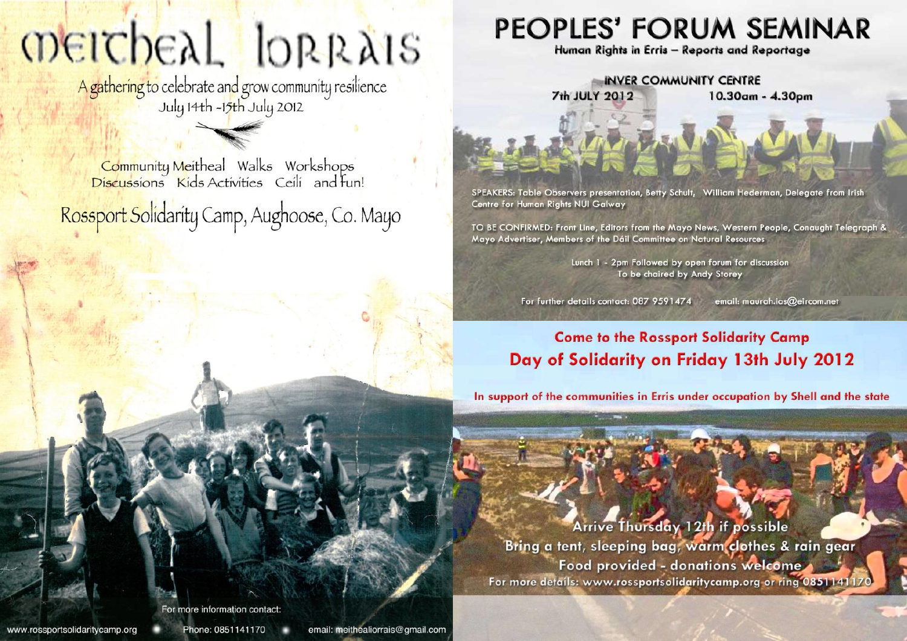# **OBEICHEAL** IORRAIS

A gathering to celebrate and grow community resilience<br>July 14th -15th July 2012

Community Meitheal Walks Workshops<br>Discussions Kids Activities Ceili and fun! Rossport Solidarity Camp, Aughoose, Co. Mayo

# PEOPLES' FORUM SEMINAR

Human Rights in Erris - Reports and Reportage

**INVER COMMUNITY CENTRE** 

10.30am - 4.30pm

**7th JULY 2012** 

SPEAKERS: Table Observers presentation, Betty Schult, William Hederman, Delegate from Irish Centre for Human Rights NUI Galway

TO BE CONFIRMED: Front Line, Editors from the Mayo News, Western People, Conaught Telegraph & Mayo Advertiser, Members of the Dáil Committee on Natural Resources

> Lunch 1 - 2pm Followed by open forum for discussion To be chaired by Andy Storey

For further details contact: 087 9591474 email: maurah.ias@eircom.net

## **Come to the Rossport Solidarity Camp** Day of Solidarity on Friday 13th July 2012

In support of the communities in Erris under occupation by Shell and the state

**Arrive Thursday 12th if possible** Bring a tent, sleeping bag, warm clothes & rain gear Food provided - donations welcome For more details: www.rossportsolidaritycamp.org or ring 085114117

For more information contact

www.rossportsolidaritycamp.org